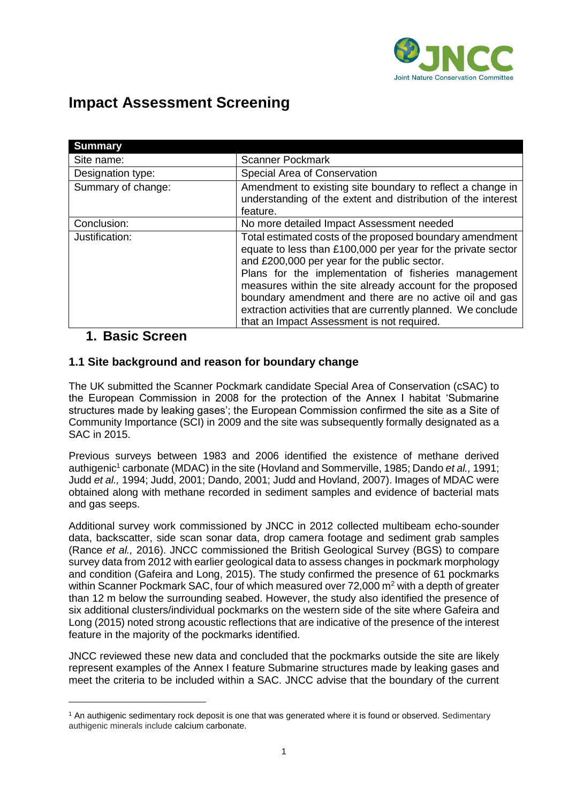

# **Impact Assessment Screening**

| <b>Summary</b>     |                                                                                                                                                                                                                                                                                                                                                         |
|--------------------|---------------------------------------------------------------------------------------------------------------------------------------------------------------------------------------------------------------------------------------------------------------------------------------------------------------------------------------------------------|
| Site name:         | <b>Scanner Pockmark</b>                                                                                                                                                                                                                                                                                                                                 |
| Designation type:  | Special Area of Conservation                                                                                                                                                                                                                                                                                                                            |
| Summary of change: | Amendment to existing site boundary to reflect a change in<br>understanding of the extent and distribution of the interest<br>feature.                                                                                                                                                                                                                  |
| Conclusion:        | No more detailed Impact Assessment needed                                                                                                                                                                                                                                                                                                               |
| Justification:     | Total estimated costs of the proposed boundary amendment<br>equate to less than £100,000 per year for the private sector<br>and £200,000 per year for the public sector.<br>Plans for the implementation of fisheries management<br>measures within the site already account for the proposed<br>boundary amendment and there are no active oil and gas |
|                    |                                                                                                                                                                                                                                                                                                                                                         |
|                    | extraction activities that are currently planned. We conclude                                                                                                                                                                                                                                                                                           |
|                    | that an Impact Assessment is not required.                                                                                                                                                                                                                                                                                                              |

## **1. Basic Screen**

<u>.</u>

#### **1.1 Site background and reason for boundary change**

The UK submitted the Scanner Pockmark candidate Special Area of Conservation (cSAC) to the European Commission in 2008 for the protection of the Annex I habitat 'Submarine structures made by leaking gases'; the European Commission confirmed the site as a Site of Community Importance (SCI) in 2009 and the site was subsequently formally designated as a SAC in 2015.

Previous surveys between 1983 and 2006 identified the existence of methane derived authigenic<sup>1</sup> carbonate (MDAC) in the site (Hovland and Sommerville, 1985; Dando *et al.,* 1991; Judd *et al.,* 1994; Judd, 2001; Dando, 2001; Judd and Hovland, 2007). Images of MDAC were obtained along with methane recorded in sediment samples and evidence of bacterial mats and gas seeps.

Additional survey work commissioned by JNCC in 2012 collected multibeam echo-sounder data, backscatter, side scan sonar data, drop camera footage and sediment grab samples (Rance *et al.,* 2016). JNCC commissioned the British Geological Survey (BGS) to compare survey data from 2012 with earlier geological data to assess changes in pockmark morphology and condition (Gafeira and Long, 2015). The study confirmed the presence of 61 pockmarks within Scanner Pockmark SAC, four of which measured over  $72,000$  m<sup>2</sup> with a depth of greater than 12 m below the surrounding seabed. However, the study also identified the presence of six additional clusters/individual pockmarks on the western side of the site where Gafeira and Long (2015) noted strong acoustic reflections that are indicative of the presence of the interest feature in the majority of the pockmarks identified.

JNCC reviewed these new data and concluded that the pockmarks outside the site are likely represent examples of the Annex I feature Submarine structures made by leaking gases and meet the criteria to be included within a SAC. JNCC advise that the boundary of the current

<sup>&</sup>lt;sup>1</sup> An authigenic sedimentary rock deposit is one that was generated where it is found or observed. Sedimentary authigenic minerals include calcium carbonate.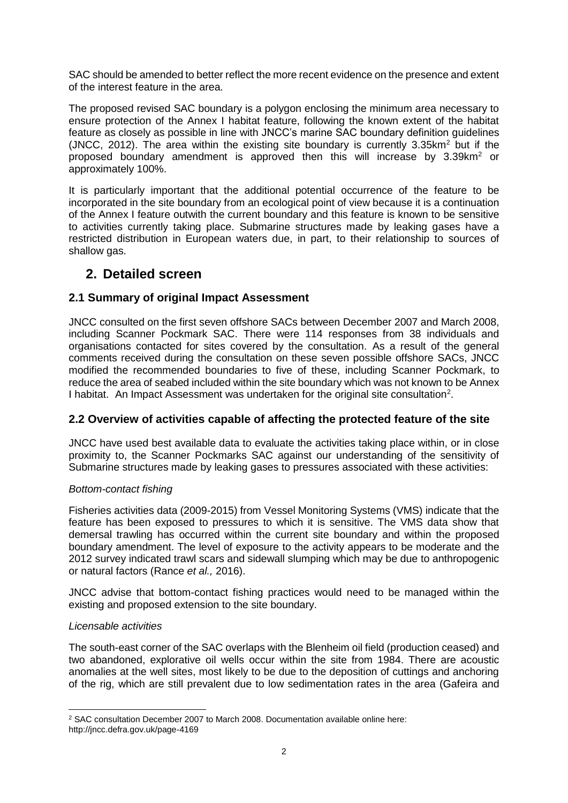SAC should be amended to better reflect the more recent evidence on the presence and extent of the interest feature in the area.

The proposed revised SAC boundary is a polygon enclosing the minimum area necessary to ensure protection of the Annex I habitat feature, following the known extent of the habitat feature as closely as possible in line with JNCC's marine SAC boundary definition guidelines (JNCC, 2012). The area within the existing site boundary is currently  $3.35 \text{km}^2$  but if the proposed boundary amendment is approved then this will increase by 3.39km<sup>2</sup> or approximately 100%.

It is particularly important that the additional potential occurrence of the feature to be incorporated in the site boundary from an ecological point of view because it is a continuation of the Annex I feature outwith the current boundary and this feature is known to be sensitive to activities currently taking place. Submarine structures made by leaking gases have a restricted distribution in European waters due, in part, to their relationship to sources of shallow gas.

# **2. Detailed screen**

#### **2.1 Summary of original Impact Assessment**

JNCC consulted on the first seven offshore SACs between December 2007 and March 2008, including Scanner Pockmark SAC. There were 114 responses from 38 individuals and organisations contacted for sites covered by the consultation. As a result of the general comments received during the consultation on these seven possible offshore SACs, JNCC modified the recommended boundaries to five of these, including Scanner Pockmark, to reduce the area of seabed included within the site boundary which was not known to be Annex I habitat. An Impact Assessment was undertaken for the original site consultation<sup>2</sup>.

#### **2.2 Overview of activities capable of affecting the protected feature of the site**

JNCC have used best available data to evaluate the activities taking place within, or in close proximity to, the Scanner Pockmarks SAC against our understanding of the sensitivity of Submarine structures made by leaking gases to pressures associated with these activities:

#### *Bottom-contact fishing*

Fisheries activities data (2009-2015) from Vessel Monitoring Systems (VMS) indicate that the feature has been exposed to pressures to which it is sensitive. The VMS data show that demersal trawling has occurred within the current site boundary and within the proposed boundary amendment. The level of exposure to the activity appears to be moderate and the 2012 survey indicated trawl scars and sidewall slumping which may be due to anthropogenic or natural factors (Rance *et al.,* 2016).

JNCC advise that bottom-contact fishing practices would need to be managed within the existing and proposed extension to the site boundary.

#### *Licensable activities*

The south-east corner of the SAC overlaps with the Blenheim oil field (production ceased) and two abandoned, explorative oil wells occur within the site from 1984. There are acoustic anomalies at the well sites, most likely to be due to the deposition of cuttings and anchoring of the rig, which are still prevalent due to low sedimentation rates in the area (Gafeira and

<sup>1</sup> <sup>2</sup> SAC consultation December 2007 to March 2008. Documentation available online here: http://jncc.defra.gov.uk/page-4169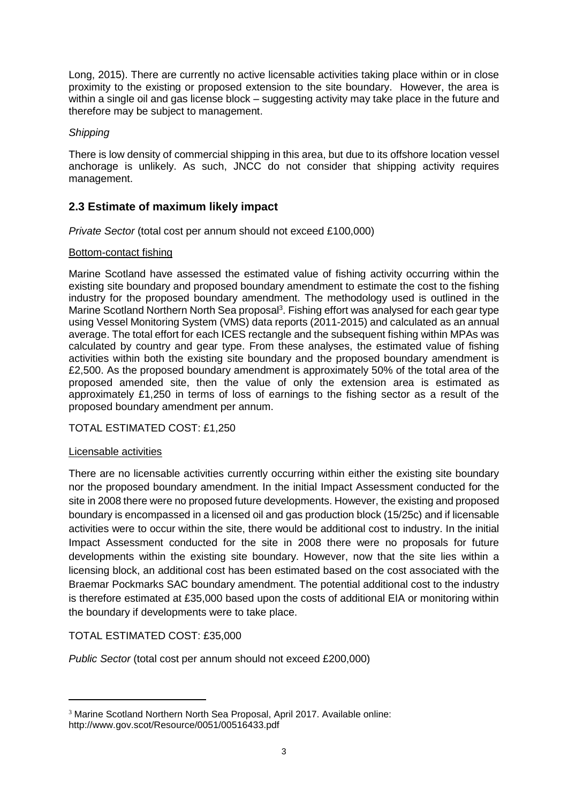Long, 2015). There are currently no active licensable activities taking place within or in close proximity to the existing or proposed extension to the site boundary. However, the area is within a single oil and gas license block – suggesting activity may take place in the future and therefore may be subject to management.

#### *Shipping*

There is low density of commercial shipping in this area, but due to its offshore location vessel anchorage is unlikely. As such, JNCC do not consider that shipping activity requires management.

## **2.3 Estimate of maximum likely impact**

*Private Sector* (total cost per annum should not exceed £100,000)

#### Bottom-contact fishing

Marine Scotland have assessed the estimated value of fishing activity occurring within the existing site boundary and proposed boundary amendment to estimate the cost to the fishing industry for the proposed boundary amendment. The methodology used is outlined in the Marine Scotland Northern North Sea proposal<sup>3</sup>. Fishing effort was analysed for each gear type using Vessel Monitoring System (VMS) data reports (2011-2015) and calculated as an annual average. The total effort for each ICES rectangle and the subsequent fishing within MPAs was calculated by country and gear type. From these analyses, the estimated value of fishing activities within both the existing site boundary and the proposed boundary amendment is £2,500. As the proposed boundary amendment is approximately 50% of the total area of the proposed amended site, then the value of only the extension area is estimated as approximately £1,250 in terms of loss of earnings to the fishing sector as a result of the proposed boundary amendment per annum.

TOTAL ESTIMATED COST: £1,250

#### Licensable activities

1

There are no licensable activities currently occurring within either the existing site boundary nor the proposed boundary amendment. In the initial Impact Assessment conducted for the site in 2008 there were no proposed future developments. However, the existing and proposed boundary is encompassed in a licensed oil and gas production block (15/25c) and if licensable activities were to occur within the site, there would be additional cost to industry. In the initial Impact Assessment conducted for the site in 2008 there were no proposals for future developments within the existing site boundary. However, now that the site lies within a licensing block, an additional cost has been estimated based on the cost associated with the Braemar Pockmarks SAC boundary amendment. The potential additional cost to the industry is therefore estimated at £35,000 based upon the costs of additional EIA or monitoring within the boundary if developments were to take place.

TOTAL ESTIMATED COST: £35,000

*Public Sector* (total cost per annum should not exceed £200,000)

<sup>&</sup>lt;sup>3</sup> Marine Scotland Northern North Sea Proposal, April 2017. Available online: http://www.gov.scot/Resource/0051/00516433.pdf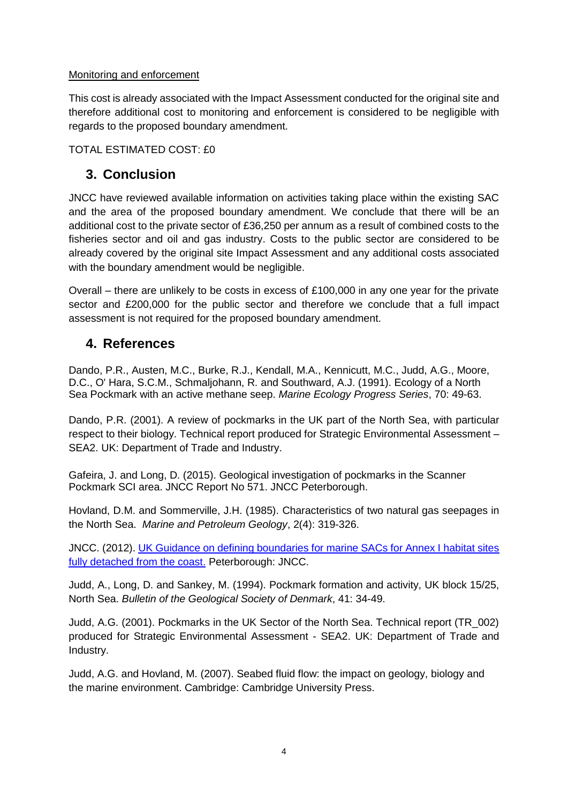#### Monitoring and enforcement

This cost is already associated with the Impact Assessment conducted for the original site and therefore additional cost to monitoring and enforcement is considered to be negligible with regards to the proposed boundary amendment.

TOTAL ESTIMATED COST: £0

# **3. Conclusion**

JNCC have reviewed available information on activities taking place within the existing SAC and the area of the proposed boundary amendment. We conclude that there will be an additional cost to the private sector of £36,250 per annum as a result of combined costs to the fisheries sector and oil and gas industry. Costs to the public sector are considered to be already covered by the original site Impact Assessment and any additional costs associated with the boundary amendment would be negligible.

Overall – there are unlikely to be costs in excess of £100,000 in any one year for the private sector and £200,000 for the public sector and therefore we conclude that a full impact assessment is not required for the proposed boundary amendment.

# **4. References**

Dando, P.R., Austen, M.C., Burke, R.J., Kendall, M.A., Kennicutt, M.C., Judd, A.G., Moore, D.C., O' Hara, S.C.M., Schmaljohann, R. and Southward, A.J. (1991). Ecology of a North Sea Pockmark with an active methane seep. *Marine Ecology Progress Series*, 70: 49-63.

Dando, P.R. (2001). A review of pockmarks in the UK part of the North Sea, with particular respect to their biology. Technical report produced for Strategic Environmental Assessment – SEA2. UK: Department of Trade and Industry.

Gafeira, J. and Long, D. (2015). Geological investigation of pockmarks in the Scanner Pockmark SCI area. JNCC Report No 571. JNCC Peterborough.

Hovland, D.M. and Sommerville, J.H. (1985). Characteristics of two natural gas seepages in the North Sea. *Marine and Petroleum Geology*, 2(4): 319-326.

JNCC. (2012). [UK Guidance on defining boundaries for marine SACs for Annex I habitat sites](http://jncc.defra.gov.uk/pdf/SACHabBoundaryGuidance_2012Update.pdf)  [fully detached from the coast.](http://jncc.defra.gov.uk/pdf/SACHabBoundaryGuidance_2012Update.pdf) Peterborough: JNCC.

Judd, A., Long, D. and Sankey, M. (1994). Pockmark formation and activity, UK block 15/25, North Sea. *Bulletin of the Geological Society of Denmark*, 41: 34-49.

Judd, A.G. (2001). Pockmarks in the UK Sector of the North Sea. Technical report (TR\_002) produced for Strategic Environmental Assessment - SEA2. UK: Department of Trade and Industry.

Judd, A.G. and Hovland, M. (2007). Seabed fluid flow: the impact on geology, biology and the marine environment. Cambridge: Cambridge University Press.